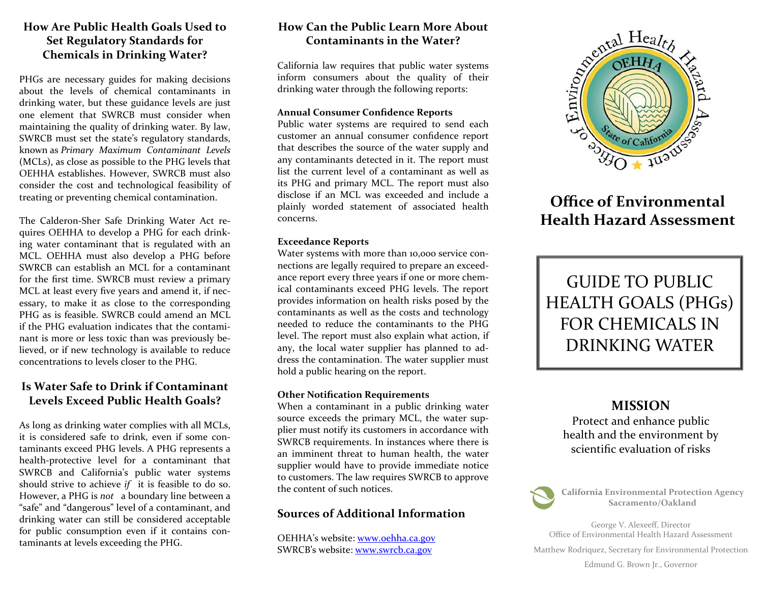### **How Are Public Health Goals Used to Set Regulatory Standards for Chemicals in Drinking Water?**

PHGs are necessary guides for making decisions about the levels of chemical contaminants indrinking water, but these guidance levels are just one element that SWRCB must consider when maintaining the quality of drinking water. By law, SWRCB must set the state's regulatory standards, known as *Primary Maximum Contaminant Levels* (MCLs), as close as possible to the PHG levels that OEHHA establishes. However, SWRCB must also consider the cost and technological feasibility of treating or preventing chemical contamination.

The Calderon‐Sher Safe Drinking Water Act re‐ quires OEHHA to develop <sup>a</sup> PHG for each drink‐ ing water contaminant that is regulated with an MCL. OEHHA must also develop <sup>a</sup> PHG before SWRCB can establish an MCL for <sup>a</sup> contaminant for the first time. SWRCB must review <sup>a</sup> primary MCL at least every five years and amend it, if nec‐ essary, to make it as close to the corresponding PHG as is feasible. SWRCB could amend an MCL if the PHG evaluation indicates that the contami‐ nant is more or less toxic than was previously be‐ lieved, or if new technology is available to reduce concentrations to levels closer to the PHG.

## **Is Water Safe to Drink if Contaminant Levels Exceed Public Health Goals?**

As long as drinking water complies with all MCLs, it is considered safe to drink, even if some con‐ taminants exceed PHG levels. A PHG represents <sup>a</sup> health‐protective level for <sup>a</sup> contaminant that SWRCB and California's public water systems should strive to achieve *if* it is feasible to do so. However, <sup>a</sup> PHG is *not* <sup>a</sup> boundary line between <sup>a</sup> "safe" and "dangerous" level of <sup>a</sup> contaminant, and drinking water can still be considered acceptable for public consumption even if it contains con‐ taminants at levels exceeding the PHG.

## **How Can the Public Learn More About Contaminants in the Water?**

California law requires that public water systems inform consumers about the quality of their drinking water through the following reports:

#### **Annual Consumer Confidence Reports**

Public water systems are required to send each customer an annual consumer con fidence report that describes the source of the water supply and any contaminants detected in it. The repor<sup>t</sup> must list the current level of <sup>a</sup> contaminant as well as its PHG and primary MCL. The repor<sup>t</sup> must also disclose if an MCL was exceeded and include <sup>a</sup> plainly worded statement of associated health concerns.

### **Exceedance Reports**

Water systems with more than 10,000 service con‐ nections are legally required to prepare an exceed‐ ance repor<sup>t</sup> every three years if one or more chem‐ ical contaminants exceed PHG levels. The repor<sup>t</sup> provides information on health risks posed by the contaminants as well as the costs and technology needed to reduce the contaminants to the PHGlevel. The repor<sup>t</sup> must also explain what action, if any, the local water supplier has planned to address the contamination. The water supplier must hold <sup>a</sup> public hearing on the report.

### **Other Noti fication Requirements**

When <sup>a</sup> contaminant in <sup>a</sup> public drinking water source exceeds the primary MCL, the water sup‐ plier must notify its customers in accordance with SWRCB requirements. In instances where there is an imminent threat to human health, the water supplier would have to provide immediate notice to customers. The law requires SWRCB to approve the content of such notices.

## **Sources of Additional Information**

OEHHA's website: <u>www.oehha.ca.gov</u> SWRCB's website: <u>www.swrcb.ca.gov</u>



# **Office of Environmental Health Hazard Assessment**



## **MISSION**

Protect and enhance public health and the environment by scientific evaluation of risks



**California Environmental Protection Agency Sacramento/Oakland**

George V. Alexee ff, Director Office of Environmental Health Hazard Assessment

Matthew Rodriquez, Secretary for Environmental Protection

Edmund G. Brown Jr., Governor